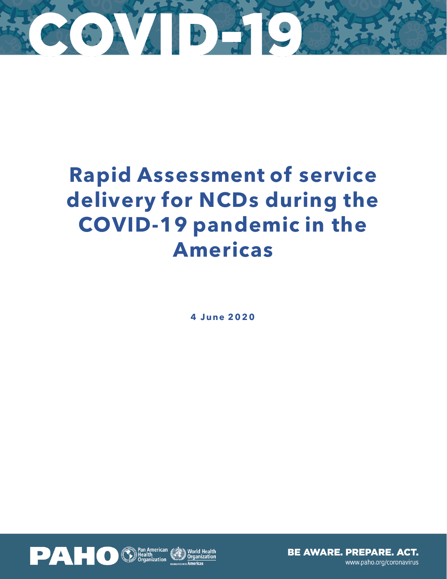

### **Rapid Assessment of service delivery for NCDs during the COVID-19 pandemic in the Americas**

**4 J une 2 0 2 0**

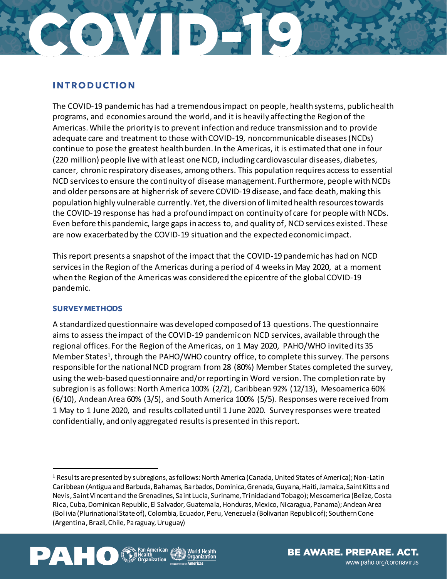# PCON ABBE

### **I N T R O D U CTIO N**

The COVID-19 pandemic has had a tremendous impact on people, health systems, public health programs, and economies around the world, and it is heavily affecting the Region of the Americas.While the priority is to prevent infection and reduce transmission and to provide adequate care and treatment to those with COVID-19, noncommunicable diseases(NCDs) continue to pose the greatest health burden. In the Americas, it is estimated that one in four (220 million) people live with at least one NCD, including cardiovascular diseases, diabetes, cancer, chronic respiratory diseases, amongothers. This population requires access to essential NCD servicesto ensure the continuity of disease management. Furthermore, people with NCDs and older persons are at higher risk of severe COVID-19 disease, and face death, making this population highly vulnerable currently. Yet, the diversion of limited health resources towards the COVID-19 response has had a profound impact on continuity of care for people with NCDs. Even before this pandemic, large gaps in access to, and quality of, NCD services existed. These are now exacerbated by the COVID-19 situation and the expected economic impact.

This report presents a snapshot of the impact that the COVID-19 pandemic has had on NCD services in the Region of the Americas during a period of 4 weeks in May 2020, at a moment when the Region of the Americas was considered the epicentre of the global COVID-19 pandemic.

### **SURVEY METHODS**

A standardized questionnaire was developed composed of 13 questions. The questionnaire aims to assess the impact of the COVID-19 pandemic on NCD services, available through the regional offices. For the Region of the Americas, on 1 May 2020, PAHO/WHO invited its 35 Member States<sup>1</sup>, through the PAHO/WHO country office, to complete this survey. The persons responsible for the national NCD program from 28 (80%) Member States completed the survey, using the web-based questionnaire and/or reporting in Word version. The completion rate by subregion is as follows: North America 100% (2/2), Caribbean 92% (12/13), Mesoamerica 60% (6/10), Andean Area 60% (3/5), and South America 100% (5/5). Responses were received from 1 May to 1 June 2020, and results collated until 1 June 2020. Survey responses were treated confidentially, and only aggregated results is presented in thisreport.

<sup>1</sup> Results are presented by subregions, as follows: North America (Canada, United States of America); Non-Latin Caribbean (Antigua and Barbuda, Bahamas, Barbados, Dominica, Grenada, Guyana, Haiti, Jamaica, Saint Kitts and Nevis, Saint Vincent and the Grenadines, Saint Lucia, Suriname, Trinidad and Tobago); Mesoamerica (Belize, Costa Rica, Cuba, Dominican Republic, El Salvador, Guatemala, Honduras, Mexico, Nicaragua, Panama); Andean Area (Bolivia (Plurinational State of), Colombia, Ecuador, Peru, Venezuela (Bolivarian Republic of); Southern Cone (Argentina, Brazil, Chile, Paraguay, Uruguay)



 $\overline{a}$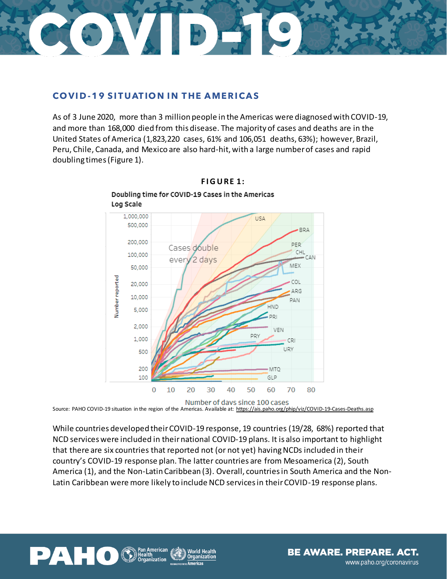

### **COVID-19 SITUATION IN THE AMERICAS**

As of 3 June 2020, more than 3 million people in the Americas were diagnosed with COVID-19, and more than 168,000 died from this disease. The majority of cases and deaths are in the United States of America (1,823,220 cases, 61% and 106,051 deaths, 63%); however, Brazil, Peru, Chile, Canada, and Mexico are also hard-hit, with a large number of cases and rapid doubling times(Figure 1).



### **F I G U RE 1:**

Doubling time for COVID-19 Cases in the Americas

Source: PAHO COVID-19 situation in the region of the Americas. Available at:<https://ais.paho.org/phip/viz/COVID-19-Cases-Deaths.asp>

**Organization** 

While countries developed their COVID-19 response, 19 countries (19/28, 68%) reported that NCD services were included in theirnational COVID-19 plans. It is also important to highlight that there are six countries that reported not (or not yet) having NCDs included in their country's COVID-19 response plan. The latter countries are from Mesoamerica (2), South America (1), and the Non-Latin Caribbean (3). Overall, countries in South America and the Non-Latin Caribbean were more likely to include NCD services in their COVID-19 response plans.

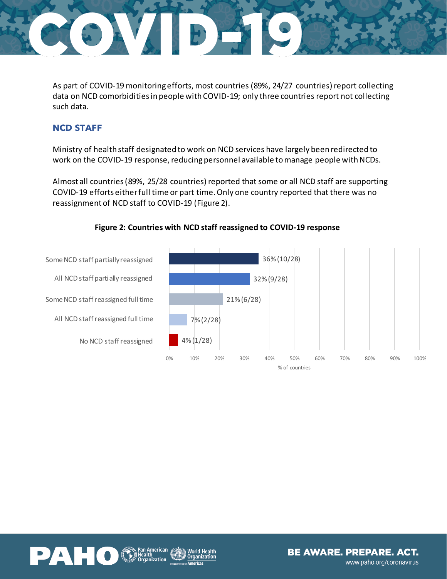

As part of COVID-19 monitoring efforts, most countries (89%, 24/27 countries) report collecting data on NCD comorbidities in people with COVID-19; only three countries report not collecting such data.

### **NCD STAFF**

Ministry of health staff designated to work on NCD services have largely been redirected to work on the COVID-19 response, reducing personnel available to manage people with NCDs.

Almost all countries (89%, 25/28 countries) reported that some or all NCD staff are supporting COVID-19 efforts either full time or part time. Only one country reported that there was no reassignment of NCD staff to COVID-19 (Figure 2).



### **Figure 2: Countries with NCD staff reassigned to COVID-19 response**

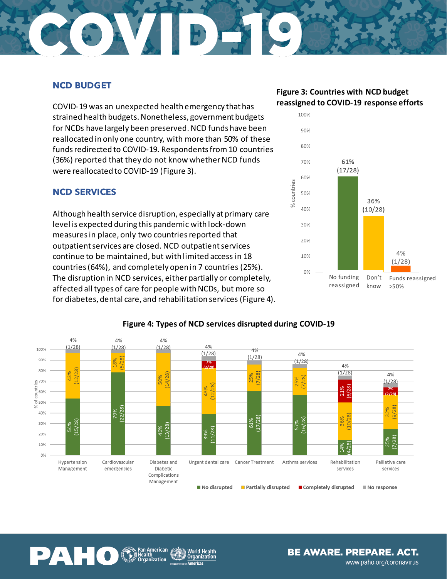### CTON DESC

### **NCD BUDGET**

COVID-19 was an unexpected health emergency that has strained health budgets. Nonetheless, government budgets for NCDs have largely been preserved. NCD funds have been reallocated in only one country, with more than 50% of these funds redirected to COVID-19. Respondents from 10 countries (36%) reported that they do not know whether NCD funds were reallocated to COVID-19 (Figure 3).

### **NCD SERVICES**

Although health service disruption, especially at primary care level is expected during this pandemic with lock-down measures in place, only two countriesreported that outpatient services are closed. NCD outpatient services continue to be maintained, but with limited access in 18 countries (64%), and completely open in 7 countries (25%). The disruption in NCD services, either partially or completely, affected all types of care for people with NCDs, but more so for diabetes, dental care, and rehabilitation services (Figure 4).

### **Figure 3: Countries with NCD budget reassigned to COVID-19 response efforts**





### **Figure 4: Types of NCD services disrupted during COVID-19**



**World Health Organization** aricae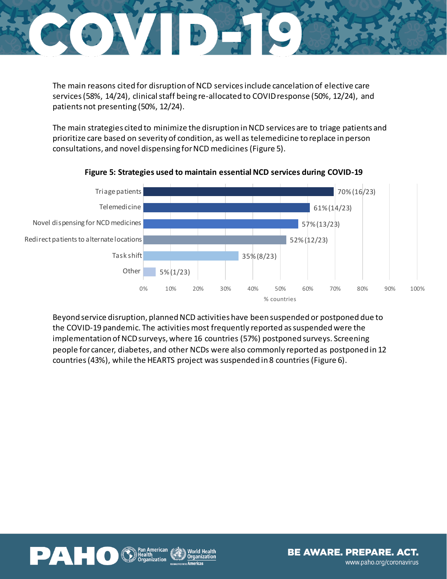

The main reasons cited for disruption of NCD services include cancelation of elective care services (58%, 14/24), clinical staff being re-allocated to COVID response (50%, 12/24), and patients not presenting (50%, 12/24).

The main strategies cited to minimize the disruption in NCD services are to triage patients and prioritize care based on severity of condition, as well as telemedicine to replace in person consultations, and novel dispensing for NCD medicines(Figure 5).



### **Figure 5: Strategies used to maintain essential NCD services during COVID-19**

Beyond service disruption, planned NCD activities have been suspended or postponed due to the COVID-19 pandemic. The activities most frequently reported as suspended were the implementation of NCD surveys, where 16 countries (57%) postponed surveys. Screening people for cancer, diabetes, and other NCDs were also commonly reported as postponed in 12 countries (43%), while the HEARTS project was suspended in 8 countries (Figure 6).

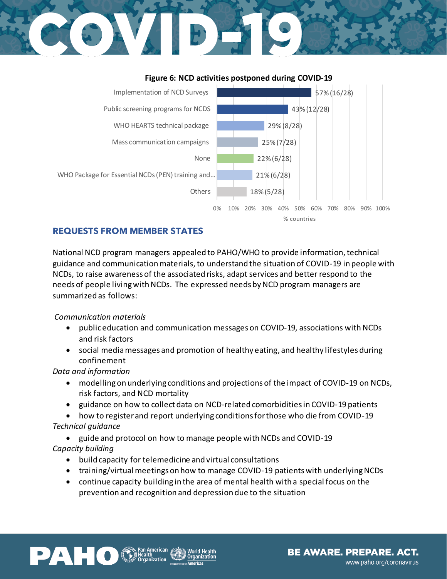## STE DAV



### **Figure 6: NCD activities postponed during COVID-19**

### **REQUESTS FROM MEMBER STATES**

National NCD program managers appealed to PAHO/WHO to provide information, technical guidance and communication materials, to understand the situation of COVID-19 in people with NCDs, to raise awareness of the associated risks, adapt services and better respond to the needs of people living with NCDs. The expressed needs by NCD program managers are summarized as follows:

### *Communication materials*

- public education and communication messages on COVID-19, associations with NCDs and risk factors
- social media messages and promotion of healthy eating, and healthy lifestyles during confinement

### *Data and information*

- modelling on underlying conditions and projections of the impact of COVID-19 on NCDs, risk factors, and NCD mortality
- guidance on how to collect data on NCD-related comorbidities in COVID-19 patients
- how to register and report underlying conditions for those who die from COVID-19 *Technical guidance*
- guide and protocol on how to manage people with NCDs and COVID-19 *Capacity building* 
	- build capacity for telemedicine and virtual consultations
	- training/virtual meetings on how to manage COVID-19 patients with underlying NCDs
	- continue capacity building in the area of mental health with a special focus on the prevention and recognition and depression due to the situation